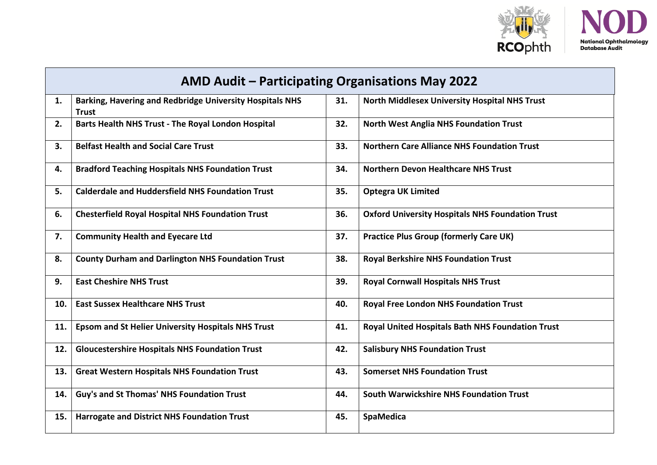

÷

| AMD Audit - Participating Organisations May 2022 |                                                                                 |     |                                                         |  |  |
|--------------------------------------------------|---------------------------------------------------------------------------------|-----|---------------------------------------------------------|--|--|
| 1.                                               | <b>Barking, Havering and Redbridge University Hospitals NHS</b><br><b>Trust</b> | 31. | <b>North Middlesex University Hospital NHS Trust</b>    |  |  |
| 2.                                               | Barts Health NHS Trust - The Royal London Hospital                              | 32. | <b>North West Anglia NHS Foundation Trust</b>           |  |  |
| 3.                                               | <b>Belfast Health and Social Care Trust</b>                                     | 33. | <b>Northern Care Alliance NHS Foundation Trust</b>      |  |  |
| 4.                                               | <b>Bradford Teaching Hospitals NHS Foundation Trust</b>                         | 34. | <b>Northern Devon Healthcare NHS Trust</b>              |  |  |
| 5.                                               | <b>Calderdale and Huddersfield NHS Foundation Trust</b>                         | 35. | <b>Optegra UK Limited</b>                               |  |  |
| 6.                                               | <b>Chesterfield Royal Hospital NHS Foundation Trust</b>                         | 36. | <b>Oxford University Hospitals NHS Foundation Trust</b> |  |  |
| 7.                                               | <b>Community Health and Eyecare Ltd</b>                                         | 37. | <b>Practice Plus Group (formerly Care UK)</b>           |  |  |
| 8.                                               | <b>County Durham and Darlington NHS Foundation Trust</b>                        | 38. | <b>Royal Berkshire NHS Foundation Trust</b>             |  |  |
| 9.                                               | <b>East Cheshire NHS Trust</b>                                                  | 39. | <b>Royal Cornwall Hospitals NHS Trust</b>               |  |  |
| 10.                                              | <b>East Sussex Healthcare NHS Trust</b>                                         | 40. | <b>Royal Free London NHS Foundation Trust</b>           |  |  |
| 11.                                              | <b>Epsom and St Helier University Hospitals NHS Trust</b>                       | 41. | <b>Royal United Hospitals Bath NHS Foundation Trust</b> |  |  |
| 12.                                              | <b>Gloucestershire Hospitals NHS Foundation Trust</b>                           | 42. | <b>Salisbury NHS Foundation Trust</b>                   |  |  |
| 13.                                              | <b>Great Western Hospitals NHS Foundation Trust</b>                             | 43. | <b>Somerset NHS Foundation Trust</b>                    |  |  |
| 14.                                              | Guy's and St Thomas' NHS Foundation Trust                                       | 44. | <b>South Warwickshire NHS Foundation Trust</b>          |  |  |
| 15.                                              | <b>Harrogate and District NHS Foundation Trust</b>                              | 45. | SpaMedica                                               |  |  |